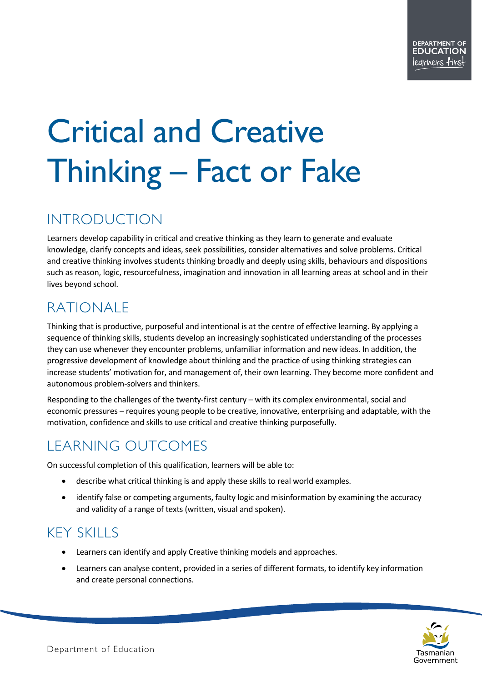# Critical and Creative Thinking – Fact or Fake

## INTRODUCTION

Learners develop capability in critical and creative thinking as they learn to generate and evaluate knowledge, clarify concepts and ideas, seek possibilities, consider alternatives and solve problems. Critical and creative thinking involves students thinking broadly and deeply using skills, behaviours and dispositions such as reason, logic, resourcefulness, imagination and innovation in all learning areas at school and in their lives beyond school.

# RATIONALE

Thinking that is productive, purposeful and intentional is at the centre of effective learning. By applying a sequence of thinking skills, students develop an increasingly sophisticated understanding of the processes they can use whenever they encounter problems, unfamiliar information and new ideas. In addition, the progressive development of knowledge about thinking and the practice of using thinking strategies can increase students' motivation for, and management of, their own learning. They become more confident and autonomous problem-solvers and thinkers.

Responding to the challenges of the twenty-first century – with its complex environmental, social and economic pressures – requires young people to be creative, innovative, enterprising and adaptable, with the motivation, confidence and skills to use critical and creative thinking purposefully.

### LEARNING OUTCOMES

On successful completion of this qualification, learners will be able to:

- describe what critical thinking is and apply these skills to real world examples.
- identify false or competing arguments, faulty logic and misinformation by examining the accuracy and validity of a range of texts (written, visual and spoken).

### KEY SKILLS

- Learners can identify and apply Creative thinking models and approaches.
- Learners can analyse content, provided in a series of different formats, to identify key information and create personal connections.

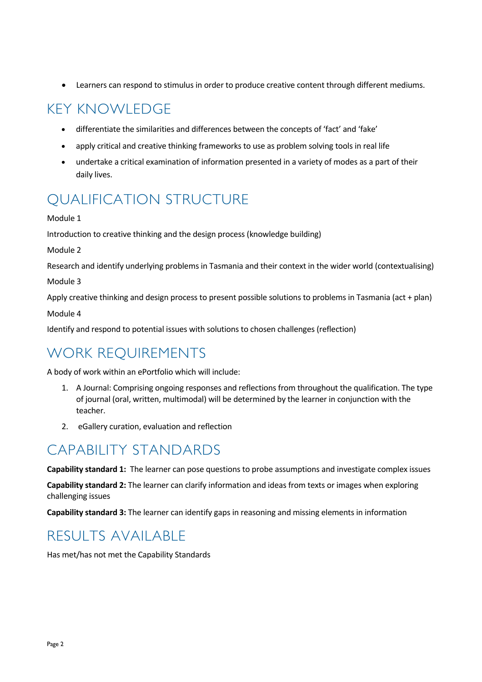• Learners can respond to stimulus in order to produce creative content through different mediums.

### KEY KNOWLEDGE

- differentiate the similarities and differences between the concepts of 'fact' and 'fake'
- apply critical and creative thinking frameworks to use as problem solving tools in real life
- undertake a critical examination of information presented in a variety of modes as a part of their daily lives.

### QUALIFICATION STRUCTURE

#### Module 1

Introduction to creative thinking and the design process (knowledge building)

Module 2

Research and identify underlying problems in Tasmania and their context in the wider world (contextualising)

Module 3

Apply creative thinking and design process to present possible solutions to problems in Tasmania (act + plan) Module 4

Identify and respond to potential issues with solutions to chosen challenges (reflection)

### WORK REQUIREMENTS

A body of work within an ePortfolio which will include:

- 1. A Journal: Comprising ongoing responses and reflections from throughout the qualification. The type of journal (oral, written, multimodal) will be determined by the learner in conjunction with the teacher.
- 2. eGallery curation, evaluation and reflection

#### CAPABILITY STANDARDS

**Capability standard 1:** The learner can pose questions to probe assumptions and investigate complex issues

**Capability standard 2:** The learner can clarify information and ideas from texts or images when exploring challenging issues

**Capability standard 3:** The learner can identify gaps in reasoning and missing elements in information

#### RESULTS AVAILABLE

Has met/has not met the Capability Standards